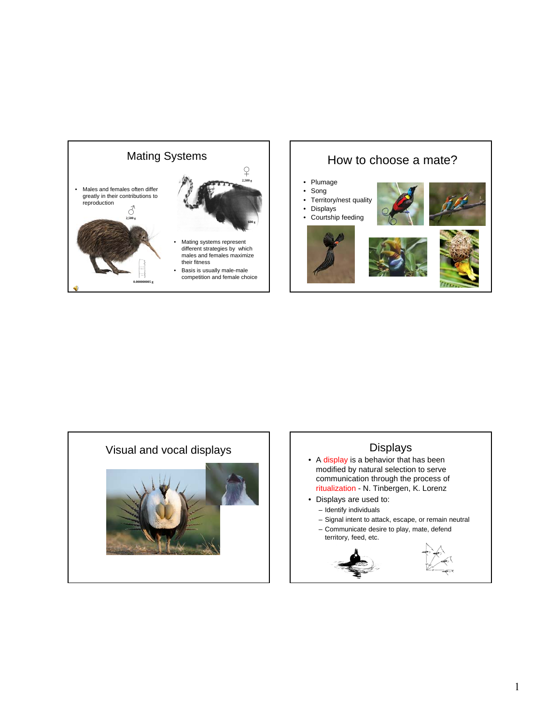





## Displays

- A display is a behavior that has been modified by natural selection to serve communication through the process of ritualization - N. Tinbergen, K. Lorenz
- Displays are used to:
	- Identify individuals
	- Signal intent to attack, escape, or remain neutral
- Communicate desire to play, mate, defend territory, feed, etc.

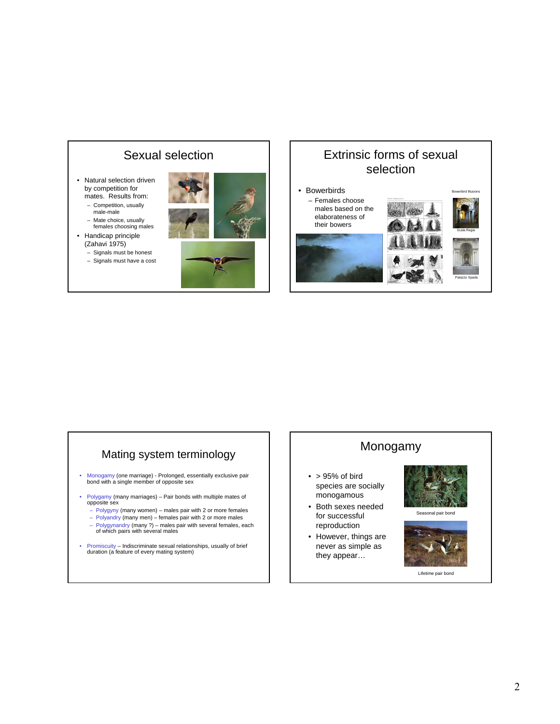## Sexual selection

- Natural selection driven by competition for mates. Results from: – Competition, usually
	- male-male – Mate choice, usually
- females choosing males • Handicap principle
- (Zahavi 1975)
- Signals must be honest – Signals must have a cost





#### Extrinsic forms of sexual selection • Bowerbirds – Females choose males based on the Bowerbird Illusions



# Mating system terminology

- Monogamy (one marriage) Prolonged, essentially exclusive pair bond with a single member of opposite sex
- Polygamy (many marriages) Pair bonds with multiple mates of opposite sex
	- Polygyny (many women) males pair with 2 or more females
	- Polyandry (many men) females pair with 2 or more males
	- Polygynandry (many ?) males pair with several females, each of which pairs with several males
- Promiscuity Indiscriminate sexual relationships, usually of brief duration (a feature of every mating system)

# Monogamy

- $\bullet$  > 95% of bird species are socially monogamous
- Both sexes needed for successful reproduction
- However, things are never as simple as they appear…



Seasonal pair bond



Lifetime pair bond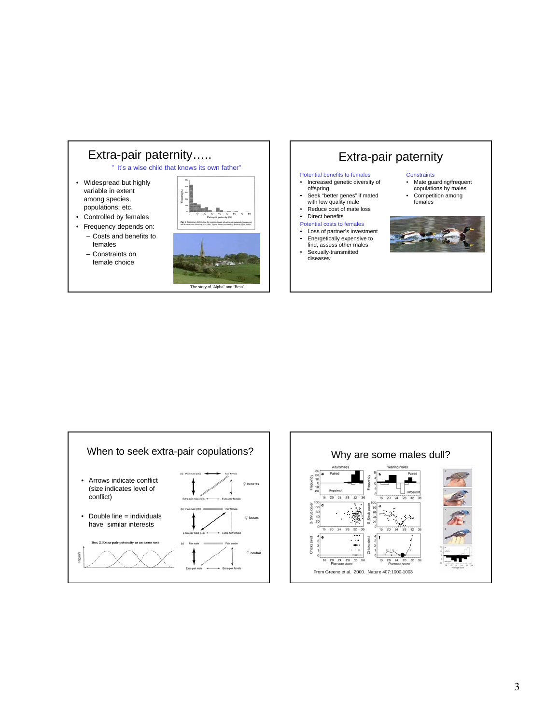





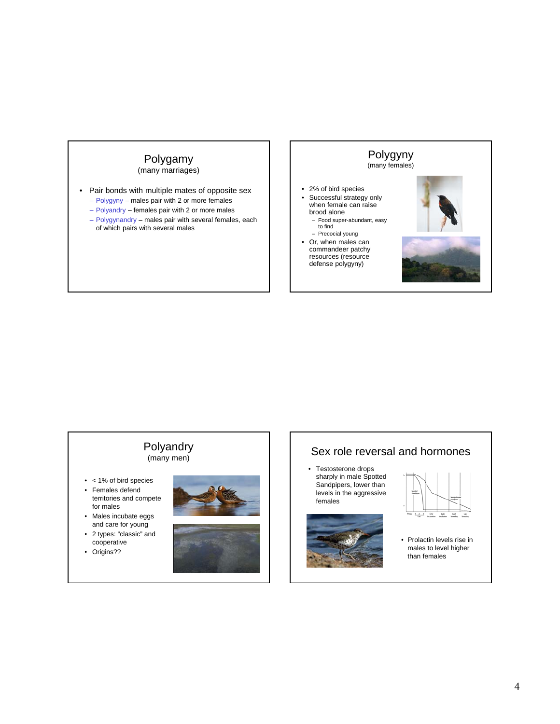## Polygamy

(many marriages)

- Pair bonds with multiple mates of opposite sex
	- Polygyny males pair with 2 or more females
	- Polyandry females pair with 2 or more males
	- Polygynandry males pair with several females, each of which pairs with several males



#### Polyandry (many men)

- < 1% of bird species
- Females defend territories and compete for males
- Males incubate eggs and care for young
- 2 types: "classic" and cooperative
- Origins??





# Sex role reversal and hormones

• Testosterone drops sharply in male Spotted Sandpipers, lower than levels in the aggressive females





• Prolactin levels rise in males to level higher than females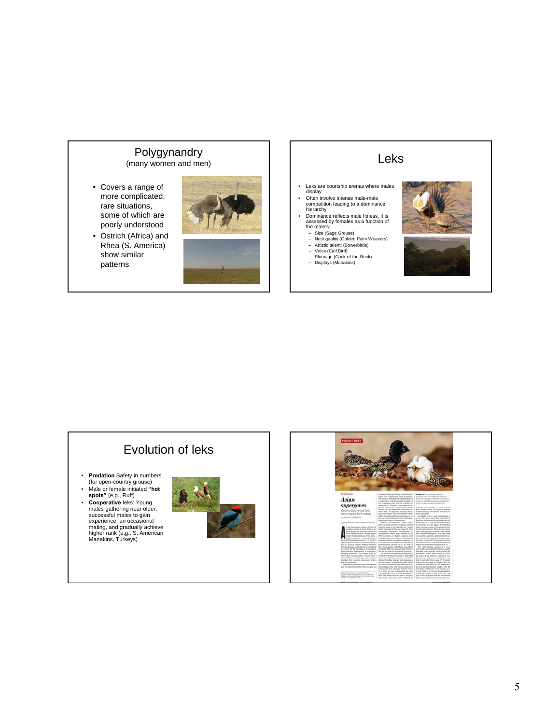#### Polygynandry (many women and men)

- Covers a range of more complicated, rare situations, some of which are
- poorly understood • Ostrich (Africa) and Rhea (S. America) show similar patterns



# Leks

- Leks are courtship arenas where males display Often involve intense male-male
- competition leading to a dominance hierarchy
- Dominance reflects male fitness. It is<br>
assessed by females as a function of<br>
the male's:<br>
 Size (Sage Grouse)<br>
 Nest quality (Golden Palm Weavers)<br>
 Artistic talent! (Bowerbirds)<br>
 Voice (Calf Bird)<br>
 Plumage (Cock
- 
- 
- 
- 





# Evolution of leks

- **Predation** Safety in numbers (for open-country grouse)
- Male or female initiated **"hot spots"** (e.g., Ruff)
- **Cooperative** leks: Young<br>
males gathering near older,<br>
successful males to gain<br>
experience, an occasional<br>
mating, and gradually achieve<br>
higher rank (e.g., S. American<br>
Manakins, Turkeys)